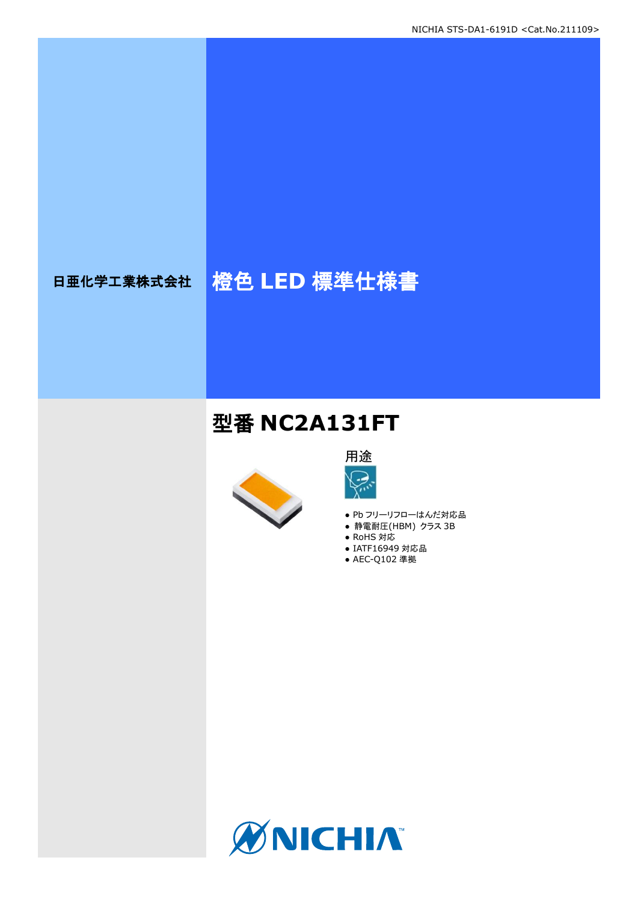# 日亜化学工業株式会社 格色 LED 標準仕様書

## 型番 **NC2A131FT**





- Pb フリーリフローはんだ対応品
- **静電耐圧(HBM) クラス 3B**
- RoHS 対応
- IATF16949 対応品
- AEC-Q102 準拠

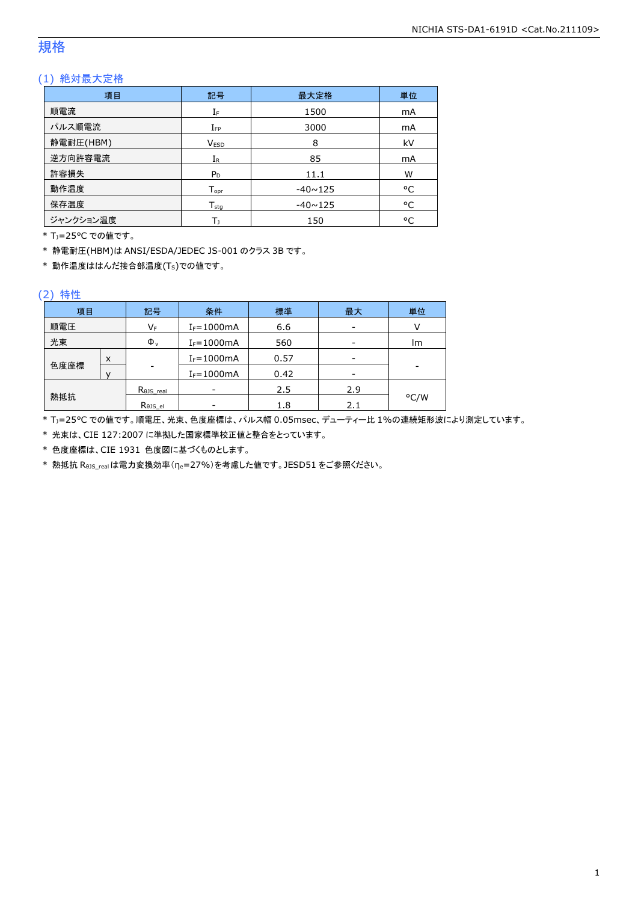### 規格

### (1) 絶対最大定格

| 項目        | 記号                 | 最大定格           | 単位 |
|-----------|--------------------|----------------|----|
| 順電流       | IF                 | 1500           | mA |
| パルス順電流    | $I_{FP}$           | 3000           | mA |
| 静電耐圧(HBM) | <b>VESD</b>        | 8              | kV |
| 逆方向許容電流   | $I_{R}$            | 85             | mA |
| 許容損失      | $P_D$              | 11.1           | W  |
| 動作温度      | $T_{\mathsf{opr}}$ | $-40 \sim 125$ | °C |
| 保存温度      | $T_{sta}$          | $-40 \sim 125$ | °C |
| ジャンクション温度 | Т١                 | 150            | °C |

\* TJ=25°C での値です。

\* 静電耐圧(HBM)は ANSI/ESDA/JEDEC JS-001 のクラス 3B です。

\* 動作温度ははんだ接合部温度(TS)での値です。

#### (2) 特性

| 項目   |   | 記号                   | 条件             | 標準   | 最大  | 単位   |
|------|---|----------------------|----------------|------|-----|------|
| 順電圧  |   | VF                   | $I_F = 1000mA$ | 6.6  |     |      |
| 光束   |   | $\Phi_{\rm v}$       | $I_F = 1000mA$ | 560  |     | lm   |
|      | X |                      | $I_F = 1000mA$ | 0.57 |     |      |
| 色度座標 |   | -                    | $I_F = 1000mA$ | 0.42 |     |      |
|      |   | $R_{\theta}$ JS_real |                | 2.5  | 2.9 |      |
| 熱抵抗  |   | Rejs el              |                | 1.8  | 2.1 | °C/W |

\* TJ=25°C での値です。順電圧、光束、色度座標は、パルス幅 0.05msec、デューティー比 1%の連続矩形波により測定しています。

\* 光束は、CIE 127:2007 に準拠した国家標準校正値と整合をとっています。

\* 色度座標は、CIE 1931 色度図に基づくものとします。

\* 熱抵抗 RθJS\_realは電力変換効率(ηe=27%)を考慮した値です。JESD51 をご参照ください。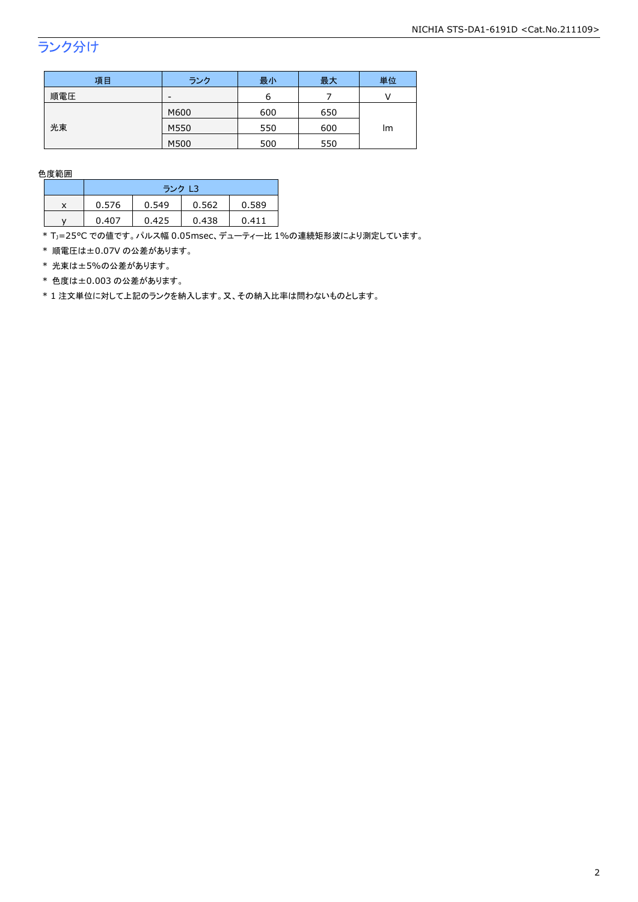## ランク分け

| 項目  | ランク  | 最小  | 最大  | 単位 |  |
|-----|------|-----|-----|----|--|
| 順電圧 | -    | n   |     |    |  |
|     | M600 | 600 | 650 |    |  |
| 光束  | M550 | 550 | 600 | lm |  |
|     | M500 | 500 | 550 |    |  |

色度範囲

|   | ランク L3 |       |       |       |  |
|---|--------|-------|-------|-------|--|
| x | 0.576  | 0.549 | 0.562 | 0.589 |  |
|   | 0.407  | 0.425 | 0.438 | 0411  |  |

\* Tj=25°C での値です。パルス幅 0.05msec、デューティー比 1%の連続矩形波により測定しています。

\* 順電圧は±0.07V の公差があります。

\* 光束は±5%の公差があります。

\* 色度は±0.003 の公差があります。

\* 1 注文単位に対して上記のランクを納入します。又、その納入比率は問わないものとします。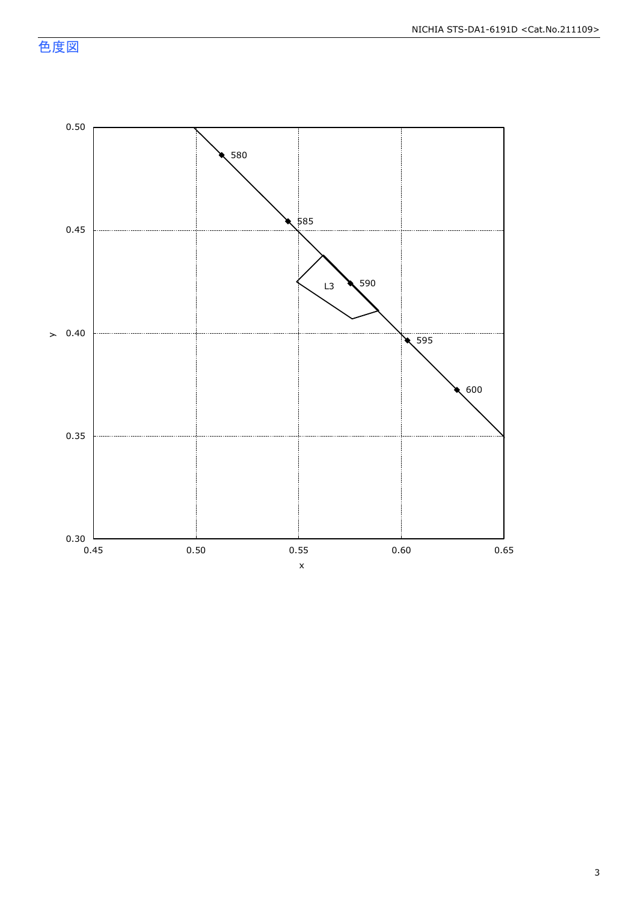色度図

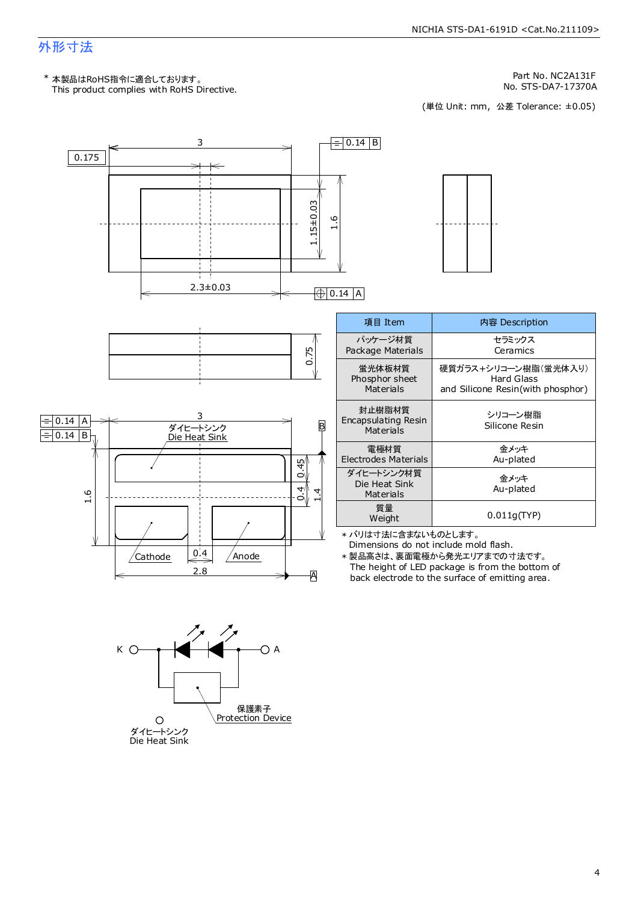### 外形寸法

This product complies with RoHS Directive. \* 本製品はRoHS指令に適合しております。

No. STS-DA7-17370A<br>(単位 Unit: mm,公差 Tolerance: ±0.05)

Part No. NC2A131F



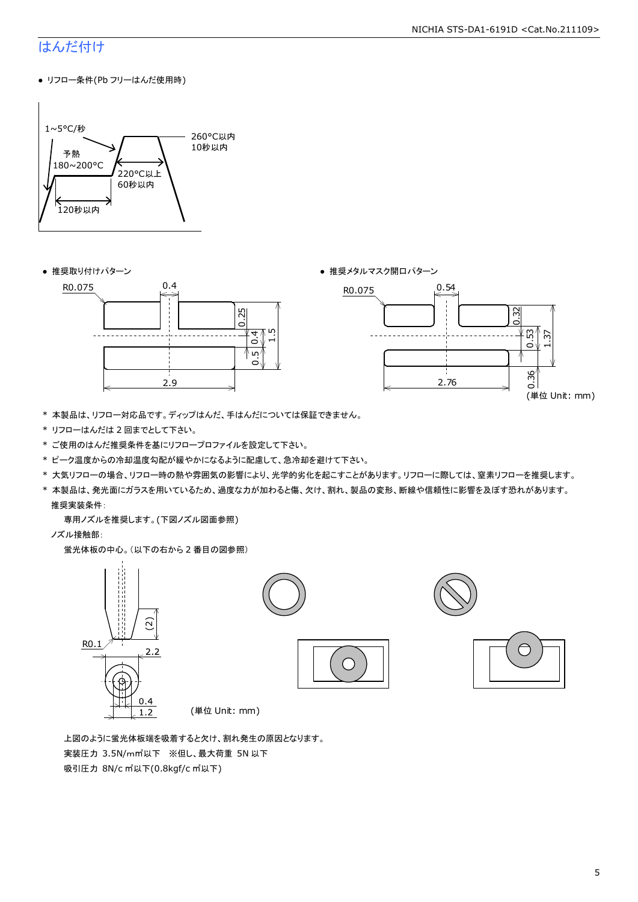#### NICHIA STS-DA1-6191D <Cat.No.211109>

### はんだ付け

● リフロー条件(Pb フリーはんだ使用時)







- \* 本製品は、リフロー対応品です。ディップはんだ、手はんだについては保証できません。
- \* リフローはんだは 2 回までとして下さい。
- \* ご使用のはんだ推奨条件を基にリフロープロファイルを設定して下さい。
- \* ピーク温度からの冷却温度勾配が緩やかになるように配慮して、急冷却を避けて下さい。
- \* 大気リフローの場合、リフロー時の熱や雰囲気の影響により、光学的劣化を起こすことがあります。リフローに際しては、窒素リフローを推奨します。
- \* 本製品は、発光面にガラスを用いているため、過度な力が加わると傷、欠け、割れ、製品の変形、断線や信頼性に影響を及ぼす恐れがあります。 推奨実装条件:

専用ノズルを推奨します。(下図ノズル図面参照)

ノズル接触部:

蛍光体板の中心。(以下の右から 2 番目の図参照)



 上図のように蛍光体板端を吸着すると欠け、割れ発生の原因となります。 実装圧力 3.5N/m㎡以下 ※但し、最大荷重 5N 以下 吸引圧力 8N/c ㎡以下(0.8kgf/c ㎡以下)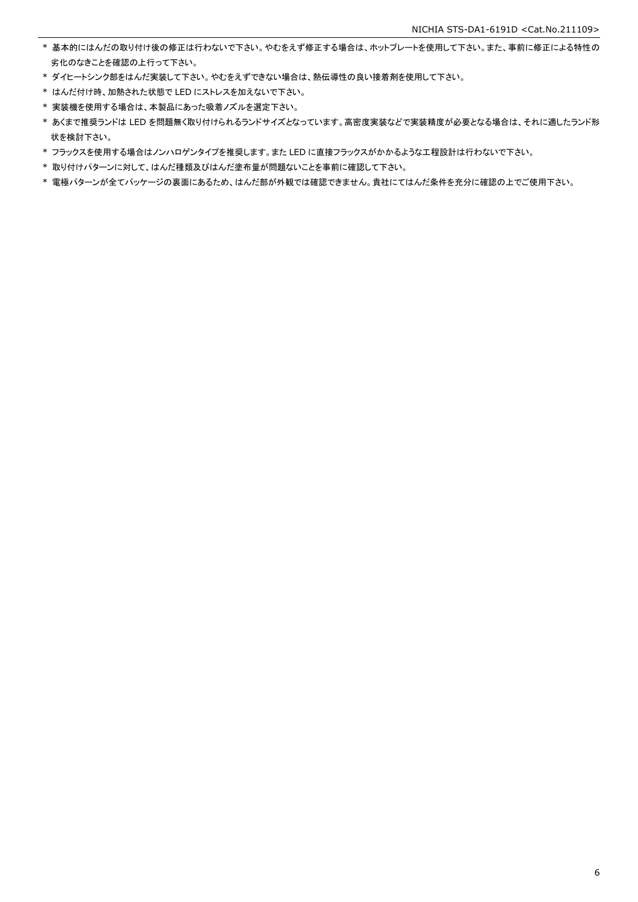- \* 基本的にはんだの取り付け後の修正は行わないで下さい。やむをえず修正する場合は、ホットプレートを使用して下さい。また、事前に修正による特性の 劣化のなきことを確認の上行って下さい。
- \* ダイヒートシンク部をはんだ実装して下さい。やむをえずできない場合は、熱伝導性の良い接着剤を使用して下さい。
- \* はんだ付け時、加熱された状態で LED にストレスを加えないで下さい。
- \* 実装機を使用する場合は、本製品にあった吸着ノズルを選定下さい。
- \* あくまで推奨ランドは LED を問題無く取り付けられるランドサイズとなっています。高密度実装などで実装精度が必要となる場合は、それに適したランド形 状を検討下さい。
- \* フラックスを使用する場合はノンハロゲンタイプを推奨します。また LED に直接フラックスがかかるような工程設計は行わないで下さい。
- \* 取り付けパターンに対して、はんだ種類及びはんだ塗布量が問題ないことを事前に確認して下さい。
- \* 電極パターンが全てパッケージの裏面にあるため、はんだ部が外観では確認できません。貴社にてはんだ条件を充分に確認の上でご使用下さい。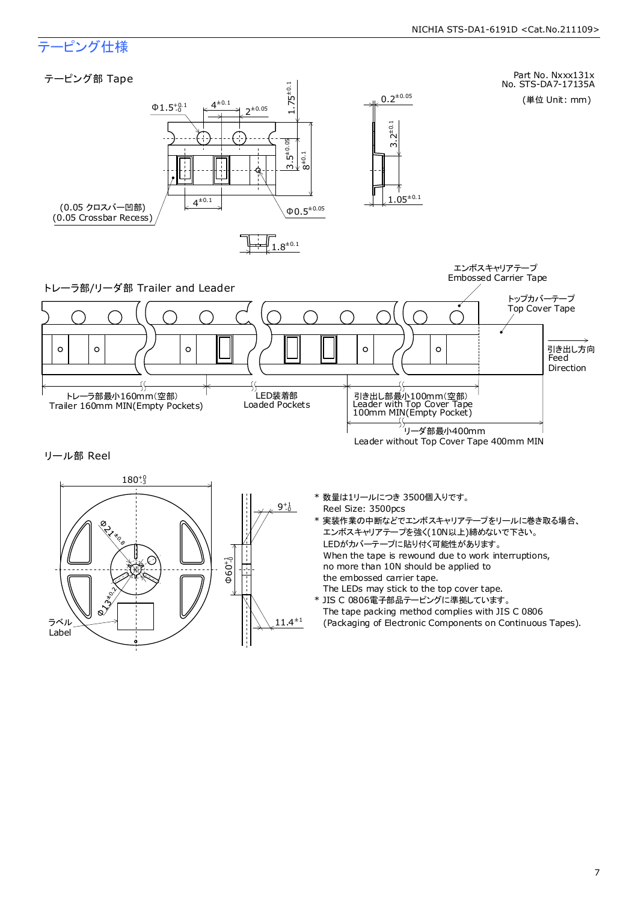### テーピング仕様

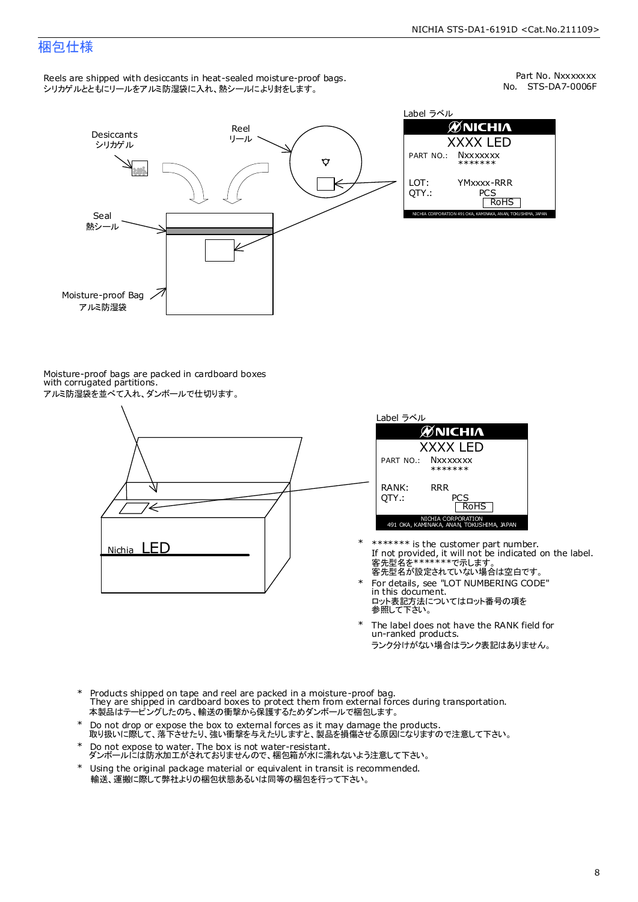### 梱包仕様

Reels are shipped with desiccants in heat-sealed moisture-proof bags. シリカゲルとともにリールをアルミ防湿袋に入れ、熱シールにより封をします。

No. STS-DA7-0006F Part No. Nxxxxxxx



Label ラベル  $\mathscr{D}$ NICHIA XXXX LED PART NO.: **Nxxxxxxx** \*\*\*\*\*\*\* LOT: YMxxxx-RRR QTY.: PCS<br>RoHS INAKA, ANAN, TOKUSHIMA, JA

Moisture-proof bags are packed in cardboard boxes with corrugated partitions. アルミ防湿袋を並べて入れ、ダンボールで仕切ります。





- 客先型名が設定されていない場合は空白です。 客先型名を\*\*\*\*\*\*\*で示します。 If not provided, it will not be indicated on the label. \*\*\*\*\*\*\* is the customer part number.
- For details, see "LOT NUMBERING CODE" in this document. ロット表記方法についてはロット番号の項を<br>参照して下さい。 \*
- The label does not have the RANK field for un-ranked products. ランク分けがない場合はランク表記はありません。 \*
- Products shipped on tape and reel are packed in a moisture-proof bag. They are shipped in cardboard boxes to protect them from external forces during transportation. 本製品はテーピングしたのち、輸送の衝撃から保護するためダンボールで梱包します。 \*
- Do not drop or expose the box to external forces as it may damage the products. 取り扱いに際して、落下させたり、強い衝撃を与えたりしますと、製品を損傷させる原因になりますので注意して下さい。 \*
- Do not expose to water. The box is not water-resistant. ダンボールには防水加工がされておりませんので、梱包箱が水に濡れないよう注意して下さい。 \*
- \* Using the original package material or equivalent in transit is recommended. 輸送、運搬に際して弊社よりの梱包状態あるいは同等の梱包を行って下さい。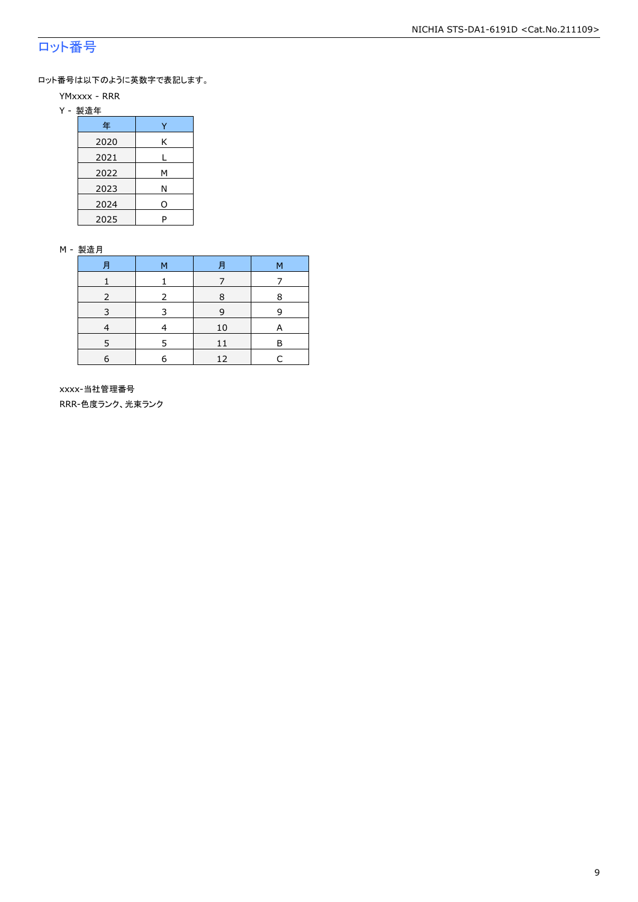### ロット番号

ロット番号は以下のように英数字で表記します。

- YMxxxx RRR
- Y 製造年

| 年    |   |
|------|---|
| 2020 | Κ |
| 2021 |   |
| 2022 | м |
| 2023 | Ν |
| 2024 | 0 |
| 2025 | P |

#### M - 製造月

| 月          | M | Ħ  | M |
|------------|---|----|---|
|            |   |    |   |
|            |   | R  | 8 |
| 3          | З | 9  | q |
|            |   | 10 | А |
|            |   | 11 | R |
| $\epsilon$ | F | 12 |   |

 xxxx-当社管理番号 RRR-色度ランク、光束ランク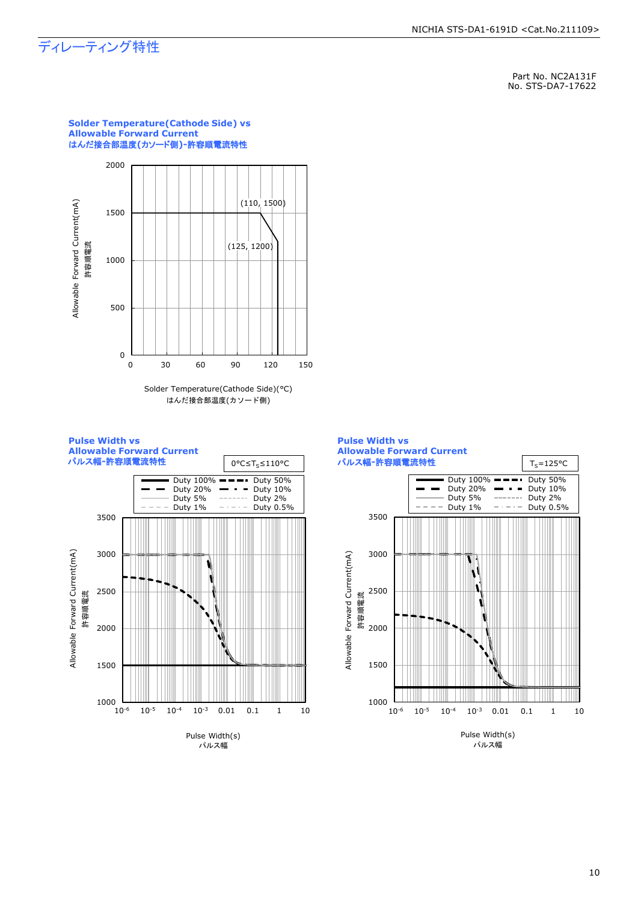### ディレーティング特性

Part No. NC2A131F No. STS-DA7-17622









#### **Solder Temperature(Cathode Side) vs Allowable Forward Current** はんだ接合部温度**(**カソード側**)-**許容順電流特性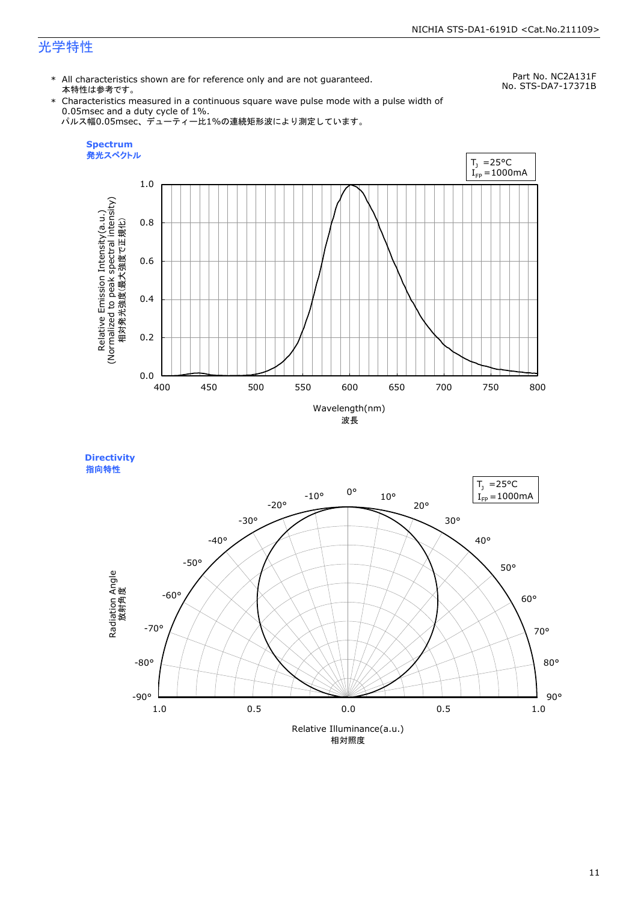### 光学特性

\* All characteristics shown are for reference only and are not guaranteed. 本特性は参考です。

Part No. NC2A131F No. STS-DA7-17371B

\* Characteristics measured in a continuous square wave pulse mode with a pulse width of 0.05msec and a duty cycle of 1%. パルス幅0.05msec、デューティー比1%の連続矩形波により測定しています。



**Directivity**  指向特性

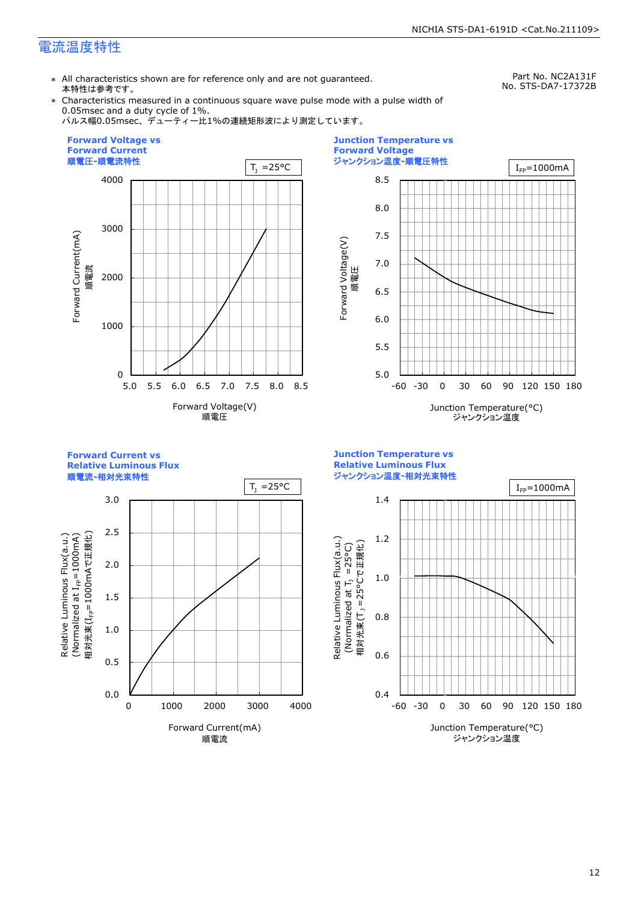### 電流温度特性

\* All characteristics shown are for reference only and are not guaranteed. 本特性は参考です。

Part No. NC2A131F No. STS-DA7-17372B

\* Characteristics measured in a continuous square wave pulse mode with a pulse width of 0.05msec and a duty cycle of 1%.

パルス幅0.05msec、デューティー比1%の連続矩形波により測定しています。





**Relative Luminous Flux** 順電流**-**相対光束特性 3.0 2.5 Relative Luminous Flux(a.u.)<br>(Normalized at I<sub>FP</sub>=1000mA) 相対光束(I<sub>FP</sub>=1000mAで正規化) 相対光束(IFP=1000mAで正規化)  $(100001$  at  $I_{\text{fp}}$  at  $I_{\text{F}}$  because  $\lambda$ Relative Luminous Flux(a.u.) 2.0

0.0

0 1000 2000 3000 4000

Forward Current(mA) 順電流

0.5

1.0

1.5

**Forward Current vs** 

**Junction Temperature vs Relative Luminous Flux** ジャンクション温度**-**相対光束特性

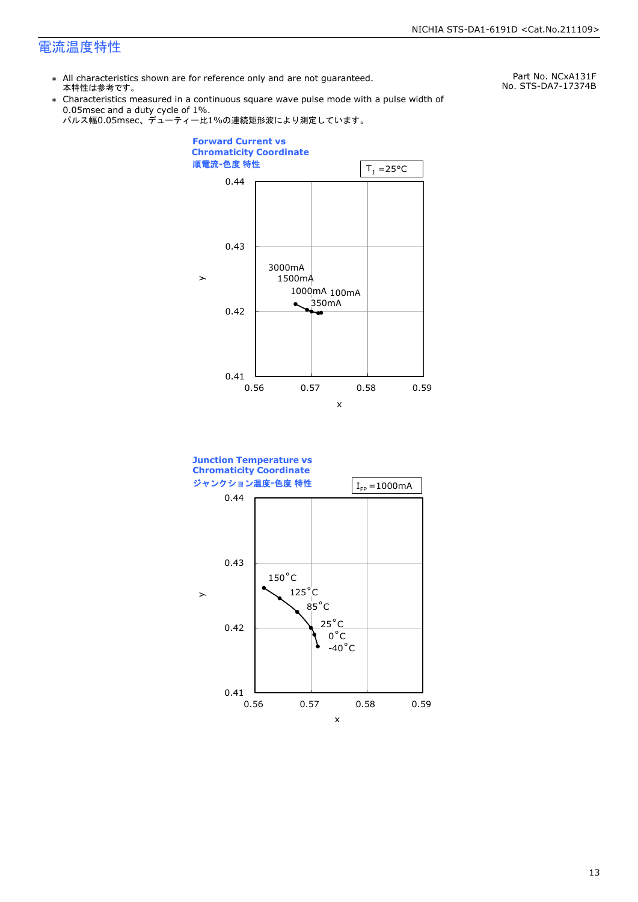### 電流温度特性

\* All characteristics shown are for reference only and are not guaranteed. 本特性は参考です。

Part No. NCxA131F No. STS-DA7-17374B

- \* Characteristics measured in a continuous square wave pulse mode with a pulse width of 0.05msec and a duty cycle of 1%.
	- パルス幅0.05msec、デューティー比1%の連続矩形波により測定しています。



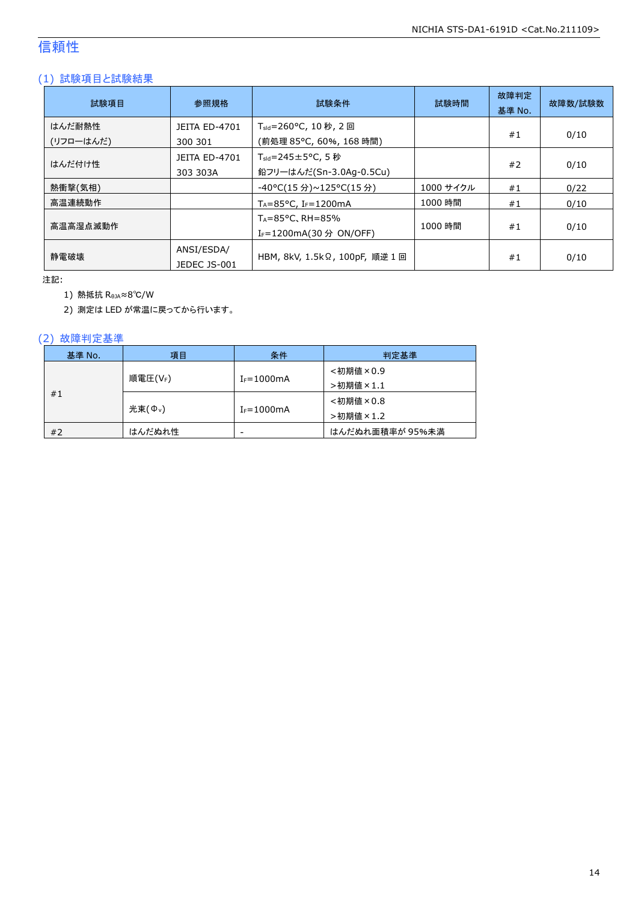### 信頼性

### (1) 試験項目と試験結果

| 試験項目                | 参照規格                             | 試験条件<br>試験時間                                                           |           | 故障判定<br>基準 No. | 故障数/試験数 |
|---------------------|----------------------------------|------------------------------------------------------------------------|-----------|----------------|---------|
| はんだ耐熱性<br>(リフローはんだ) | <b>JEITA ED-4701</b><br>300 301  | T <sub>sld</sub> =260°C, 10 秒, 2 回<br>(前処理 85℃, 60%, 168 時間)           |           | #1             | 0/10    |
| はんだ付け性              | <b>JEITA ED-4701</b><br>303 303A | $T_{\text{std}} = 245 \pm 5^{\circ}$ C, 5 秒<br>鉛フリーはんだ(Sn-3.0Ag-0.5Cu) |           | #2             | 0/10    |
| 熱衝撃(気相)             |                                  | -40°C(15 分)~125°C(15 分)                                                | 1000 サイクル | #1             | 0/22    |
| 高温連続動作              |                                  | $T_A = 85^{\circ}$ C, I <sub>F</sub> =1200mA                           | 1000 時間   | #1             | 0/10    |
| 高温高湿点滅動作            |                                  | $T_A = 85^{\circ}$ C, RH = 85%<br>I <sub>F</sub> =1200mA(30 分 ON/OFF)  | 1000 時間   | #1             | 0/10    |
| 静雷破壊                | ANSI/ESDA/<br>JEDEC JS-001       | HBM, 8kV, 1.5kΩ, 100pF, 順逆 1 回                                         |           | #1             | 0/10    |

注記:

1) 熱抵抗 RθJA≈8℃/W

2) 測定は LED が常温に戻ってから行います。

### (2) 故障判定基準

| 基準 No.  | 項目                  | 条件              | 判定基準            |
|---------|---------------------|-----------------|-----------------|
|         |                     |                 | <初期値×0.9        |
| 順電圧(VF) |                     | $I_F = 1000$ mA | >初期値×1.1        |
| #1      |                     |                 | <初期値×0.8        |
|         | 光束(Φ <sub>ν</sub> ) | $I_F = 1000$ mA | >初期値×1.2        |
| #2      | はんだぬれ性              | -               | はんだぬれ面積率が 95%未満 |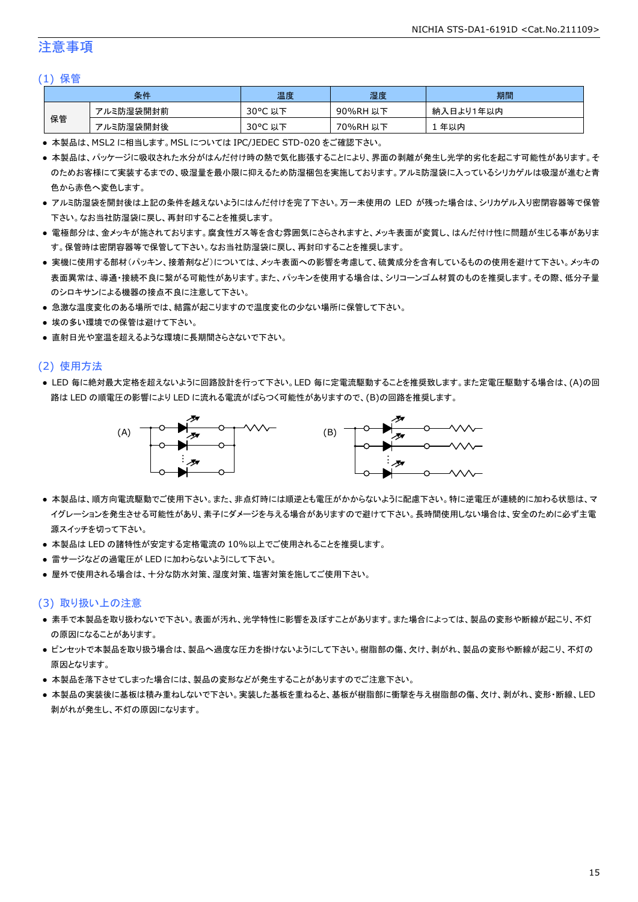### 注意事項

#### (1) 保管

|    | 条件        | 温度                   | 湿度       | 期間        |
|----|-----------|----------------------|----------|-----------|
|    | アルミ防湿袋開封前 | $30^{\circ}$ C<br>以下 | 90%RH 以下 | 納入日より1年以内 |
| 保管 | アルミ防湿袋開封後 | $30^{\circ}$ C<br>以下 | 70%RH 以下 | 年以内       |

● 本製品は、MSL2 に相当します。MSL については IPC/JEDEC STD-020 をご確認下さい。

- 本製品は、パッケージに吸収された水分がはんだ付け時の熱で気化膨張することにより、界面の剥離が発生し光学的劣化を起こす可能性があります。そ のためお客様にて実装するまでの、吸湿量を最小限に抑えるため防湿梱包を実施しております。アルミ防湿袋に入っているシリカゲルは吸湿が進むと青 色から赤色へ変色します。
- アルミ防湿袋を開封後は上記の条件を越えないようにはんだ付けを完了下さい。万一未使用の LED が残った場合は、シリカゲル入り密閉容器等で保管 下さい。なお当社防湿袋に戻し、再封印することを推奨します。
- 電極部分は、金メッキが施されております。腐食性ガス等を含む雰囲気にさらされますと、メッキ表面が変質し、はんだ付け性に問題が生じる事がありま す。保管時は密閉容器等で保管して下さい。なお当社防湿袋に戻し、再封印することを推奨します。
- 実機に使用する部材(パッキン、接着剤など)については、メッキ表面への影響を考慮して、硫黄成分を含有しているものの使用を避けて下さい。メッキの 表面異常は、導通・接続不良に繋がる可能性があります。また、パッキンを使用する場合は、シリコーンゴム材質のものを推奨します。その際、低分子量 のシロキサンによる機器の接点不良に注意して下さい。
- 急激な温度変化のある場所では、結露が起こりますので温度変化の少ない場所に保管して下さい。
- 埃の多い環境での保管は避けて下さい。
- 直射日光や室温を超えるような環境に長期間さらさないで下さい。

#### (2) 使用方法

● LED 毎に絶対最大定格を超えないように回路設計を行って下さい。LED 毎に定電流駆動することを推奨致します。また定電圧駆動する場合は、(A)の回 路は LED の順電圧の影響により LED に流れる電流がばらつく可能性がありますので、(B)の回路を推奨します。



- 本製品は、順方向電流駆動でご使用下さい。また、非点灯時には順逆とも電圧がかからないように配慮下さい。特に逆電圧が連続的に加わる状態は、マ イグレーションを発生させる可能性があり、素子にダメージを与える場合がありますので避けて下さい。長時間使用しない場合は、安全のために必ず主電 源スイッチを切って下さい。
- 本製品は LED の諸特性が安定する定格電流の 10%以上でご使用されることを推奨します。
- 雷サージなどの過電圧が LED に加わらないようにして下さい。
- 屋外で使用される場合は、十分な防水対策、湿度対策、塩害対策を施してご使用下さい。

#### (3) 取り扱い上の注意

- 素手で本製品を取り扱わないで下さい。表面が汚れ、光学特性に影響を及ぼすことがあります。また場合によっては、製品の変形や断線が起こり、不灯 の原因になることがあります。
- ピンセットで本製品を取り扱う場合は、製品へ過度な圧力を掛けないようにして下さい。樹脂部の傷、欠け、剥がれ、製品の変形や断線が起こり、不灯の 原因となります。
- 本製品を落下させてしまった場合には、製品の変形などが発生することがありますのでご注意下さい。
- 本製品の実装後に基板は積み重ねしないで下さい。実装した基板を重ねると、基板が樹脂部に衝撃を与え樹脂部の傷、欠け、剥がれ、変形・断線、LED 剥がれが発生し、不灯の原因になります。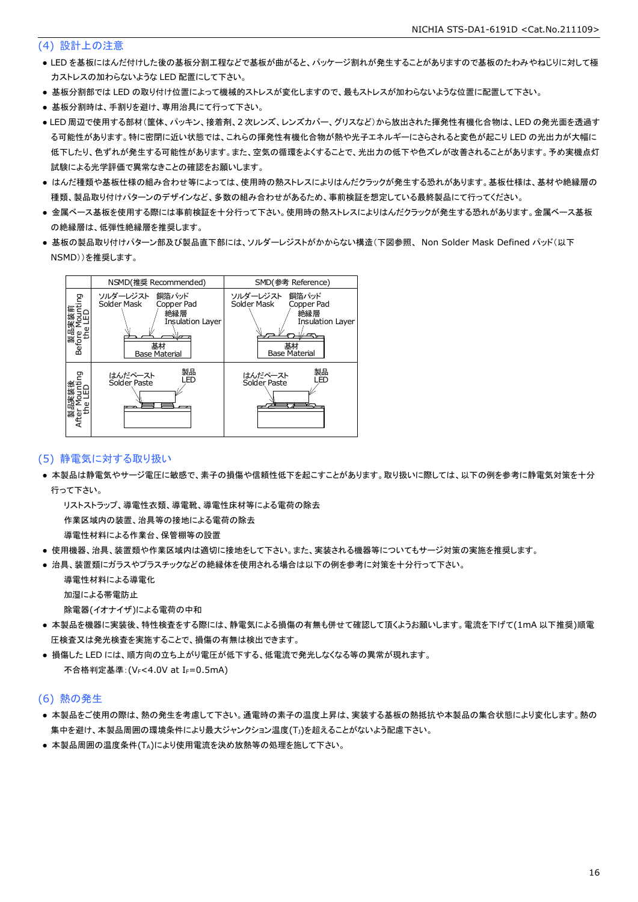#### (4) 設計上の注意

- LED を基板にはんだ付けした後の基板分割工程などで基板が曲がると、パッケージ割れが発生することがありますので基板のたわみやねじりに対して極 力ストレスの加わらないような LED 配置にして下さい。
- 基板分割部では LED の取り付け位置によって機械的ストレスが変化しますので、最もストレスが加わらないような位置に配置して下さい。
- 基板分割時は、手割りを避け、専用治具にて行って下さい。
- LED 周辺で使用する部材(筐体、パッキン、接着剤、2 次レンズ、レンズカバー、グリスなど)から放出された揮発性有機化合物は、LED の発光面を透過す る可能性があります。特に密閉に近い状態では、これらの揮発性有機化合物が熱や光子エネルギーにさらされると変色が起こり LED の光出力が大幅に 低下したり、色ずれが発生する可能性があります。また、空気の循環をよくすることで、光出力の低下や色ズレが改善されることがあります。予め実機点灯 試験による光学評価で異常なきことの確認をお願いします。
- はんだ種類や基板仕様の組み合わせ等によっては、使用時の熱ストレスによりはんだクラックが発生する恐れがあります。基板仕様は、基材や絶縁層の 種類、製品取り付けパターンのデザインなど、多数の組み合わせがあるため、事前検証を想定している最終製品にて行ってください。
- 金属ベース基板を使用する際には事前検証を十分行って下さい。使用時の熱ストレスによりはんだクラックが発生する恐れがあります。金属ベース基板 の絶縁層は、低弾性絶縁層を推奨します。
- 基板の製品取り付けパターン部及び製品直下部には、ソルダーレジストがかからない構造(下図参照、 Non Solder Mask Defined パッド(以下 NSMD))を推奨します。



#### (5) 静電気に対する取り扱い

● 本製品は静電気やサージ電圧に敏感で、素子の損傷や信頼性低下を起こすことがあります。取り扱いに際しては、以下の例を参考に静電気対策を十分 行って下さい。

 リストストラップ、導電性衣類、導電靴、導電性床材等による電荷の除去 作業区域内の装置、治具等の接地による電荷の除去

導電性材料による作業台、保管棚等の設置

- 使用機器、治具、装置類や作業区域内は適切に接地をして下さい。また、実装される機器等についてもサージ対策の実施を推奨します。
- 治具、装置類にガラスやプラスチックなどの絶縁体を使用される場合は以下の例を参考に対策を十分行って下さい。

 導電性材料による導電化 加湿による帯電防止

除電器(イオナイザ)による電荷の中和

- 本製品を機器に実装後、特性検査をする際には、静電気による損傷の有無も併せて確認して頂くようお願いします。電流を下げて(1mA 以下推奨)順電 圧検査又は発光検査を実施することで、損傷の有無は検出できます。
- 損傷した LED には、順方向の立ち上がり電圧が低下する、低電流で発光しなくなる等の異常が現れます。 不合格判定基準: (VF<4.0V at IF=0.5mA)

#### (6) 熱の発生

- 本製品をご使用の際は、熱の発生を考慮して下さい。通電時の素子の温度上昇は、実装する基板の熱抵抗や本製品の集合状態により変化します。熱の 集中を避け、本製品周囲の環境条件により最大ジャンクション温度(TJ)を超えることがないよう配慮下さい。
- 本製品周囲の温度条件(TA)により使用電流を決め放熱等の処理を施して下さい。